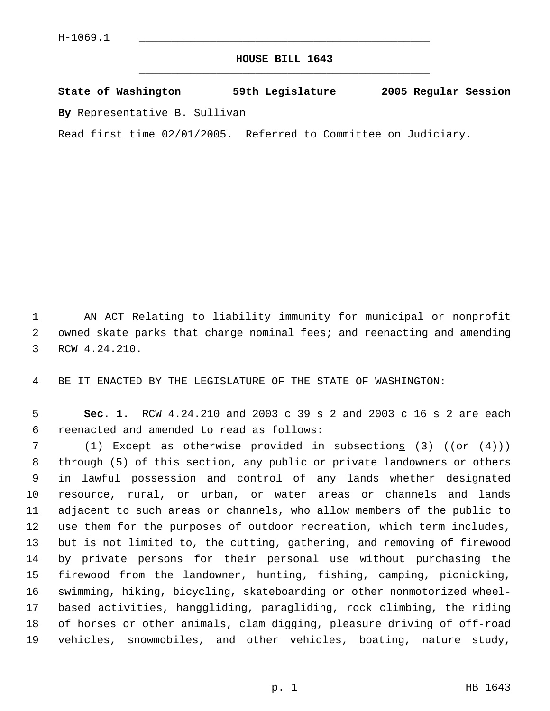## **HOUSE BILL 1643** \_\_\_\_\_\_\_\_\_\_\_\_\_\_\_\_\_\_\_\_\_\_\_\_\_\_\_\_\_\_\_\_\_\_\_\_\_\_\_\_\_\_\_\_\_

**State of Washington 59th Legislature 2005 Regular Session By** Representative B. Sullivan

Read first time 02/01/2005. Referred to Committee on Judiciary.

 AN ACT Relating to liability immunity for municipal or nonprofit owned skate parks that charge nominal fees; and reenacting and amending RCW 4.24.210.

BE IT ENACTED BY THE LEGISLATURE OF THE STATE OF WASHINGTON:

 **Sec. 1.** RCW 4.24.210 and 2003 c 39 s 2 and 2003 c 16 s 2 are each reenacted and amended to read as follows:

7 (1) Except as otherwise provided in subsections (3)  $((or (4))$ 8 through (5) of this section, any public or private landowners or others in lawful possession and control of any lands whether designated resource, rural, or urban, or water areas or channels and lands adjacent to such areas or channels, who allow members of the public to use them for the purposes of outdoor recreation, which term includes, but is not limited to, the cutting, gathering, and removing of firewood by private persons for their personal use without purchasing the firewood from the landowner, hunting, fishing, camping, picnicking, swimming, hiking, bicycling, skateboarding or other nonmotorized wheel- based activities, hanggliding, paragliding, rock climbing, the riding of horses or other animals, clam digging, pleasure driving of off-road vehicles, snowmobiles, and other vehicles, boating, nature study,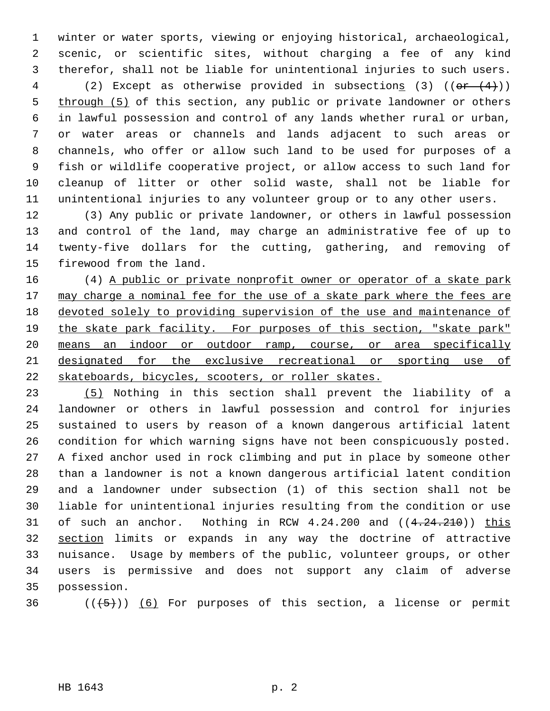winter or water sports, viewing or enjoying historical, archaeological, scenic, or scientific sites, without charging a fee of any kind therefor, shall not be liable for unintentional injuries to such users.

4 (2) Except as otherwise provided in subsections (3)  $((or  $(4)$ ))$ 5 through (5) of this section, any public or private landowner or others in lawful possession and control of any lands whether rural or urban, or water areas or channels and lands adjacent to such areas or channels, who offer or allow such land to be used for purposes of a fish or wildlife cooperative project, or allow access to such land for cleanup of litter or other solid waste, shall not be liable for unintentional injuries to any volunteer group or to any other users.

 (3) Any public or private landowner, or others in lawful possession and control of the land, may charge an administrative fee of up to twenty-five dollars for the cutting, gathering, and removing of firewood from the land.

 (4) A public or private nonprofit owner or operator of a skate park 17 may charge a nominal fee for the use of a skate park where the fees are devoted solely to providing supervision of the use and maintenance of 19 the skate park facility. For purposes of this section, "skate park" means an indoor or outdoor ramp, course, or area specifically designated for the exclusive recreational or sporting use of skateboards, bicycles, scooters, or roller skates.

 (5) Nothing in this section shall prevent the liability of a landowner or others in lawful possession and control for injuries sustained to users by reason of a known dangerous artificial latent condition for which warning signs have not been conspicuously posted. A fixed anchor used in rock climbing and put in place by someone other than a landowner is not a known dangerous artificial latent condition and a landowner under subsection (1) of this section shall not be liable for unintentional injuries resulting from the condition or use 31 of such an anchor. Nothing in RCW  $4.24.200$  and  $((4.24.210))$  this section limits or expands in any way the doctrine of attractive nuisance. Usage by members of the public, volunteer groups, or other users is permissive and does not support any claim of adverse possession.

36  $((+5))$  (6) For purposes of this section, a license or permit